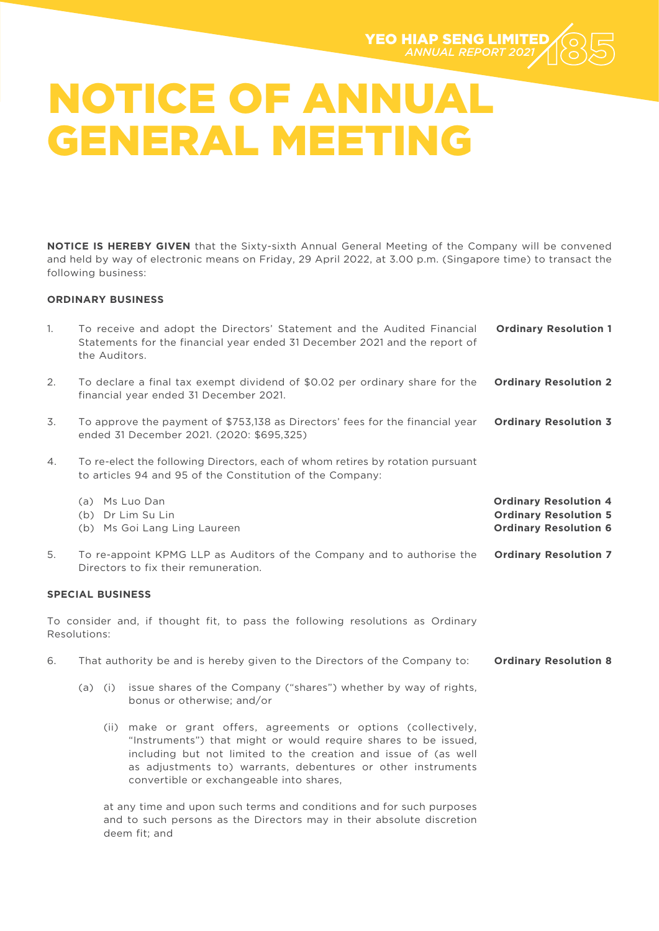

**NOTICE IS HEREBY GIVEN** that the Sixty-sixth Annual General Meeting of the Company will be convened and held by way of electronic means on Friday, 29 April 2022, at 3.00 p.m. (Singapore time) to transact the following business:

### **ORDINARY BUSINESS**

deem fit; and

| 1. | the Auditors.                                                                                                              | To receive and adopt the Directors' Statement and the Audited Financial<br>Statements for the financial year ended 31 December 2021 and the report of                                                                                                                                                             | <b>Ordinary Resolution 1</b>                                                                 |
|----|----------------------------------------------------------------------------------------------------------------------------|-------------------------------------------------------------------------------------------------------------------------------------------------------------------------------------------------------------------------------------------------------------------------------------------------------------------|----------------------------------------------------------------------------------------------|
| 2. | To declare a final tax exempt dividend of \$0.02 per ordinary share for the<br>financial year ended 31 December 2021.      |                                                                                                                                                                                                                                                                                                                   | <b>Ordinary Resolution 2</b>                                                                 |
| 3. | To approve the payment of \$753,138 as Directors' fees for the financial year<br>ended 31 December 2021. (2020: \$695,325) |                                                                                                                                                                                                                                                                                                                   | <b>Ordinary Resolution 3</b>                                                                 |
| 4. |                                                                                                                            | To re-elect the following Directors, each of whom retires by rotation pursuant<br>to articles 94 and 95 of the Constitution of the Company:                                                                                                                                                                       |                                                                                              |
|    |                                                                                                                            | (a) Ms Luo Dan<br>(b) Dr Lim Su Lin<br>(b) Ms Goi Lang Ling Laureen                                                                                                                                                                                                                                               | <b>Ordinary Resolution 4</b><br><b>Ordinary Resolution 5</b><br><b>Ordinary Resolution 6</b> |
| 5. |                                                                                                                            | To re-appoint KPMG LLP as Auditors of the Company and to authorise the<br>Directors to fix their remuneration.                                                                                                                                                                                                    | <b>Ordinary Resolution 7</b>                                                                 |
|    | <b>SPECIAL BUSINESS</b>                                                                                                    |                                                                                                                                                                                                                                                                                                                   |                                                                                              |
|    | Resolutions:                                                                                                               | To consider and, if thought fit, to pass the following resolutions as Ordinary                                                                                                                                                                                                                                    |                                                                                              |
| 6. | That authority be and is hereby given to the Directors of the Company to:                                                  |                                                                                                                                                                                                                                                                                                                   | <b>Ordinary Resolution 8</b>                                                                 |
|    |                                                                                                                            | (a) (i) issue shares of the Company ("shares") whether by way of rights,<br>bonus or otherwise; and/or                                                                                                                                                                                                            |                                                                                              |
|    |                                                                                                                            | (ii) make or grant offers, agreements or options (collectively,<br>"Instruments") that might or would require shares to be issued,<br>including but not limited to the creation and issue of (as well<br>as adjustments to) warrants, debentures or other instruments<br>convertible or exchangeable into shares, |                                                                                              |
|    |                                                                                                                            | at any time and upon such terms and conditions and for such purposes<br>and to such persons as the Directors may in their absolute discretion                                                                                                                                                                     |                                                                                              |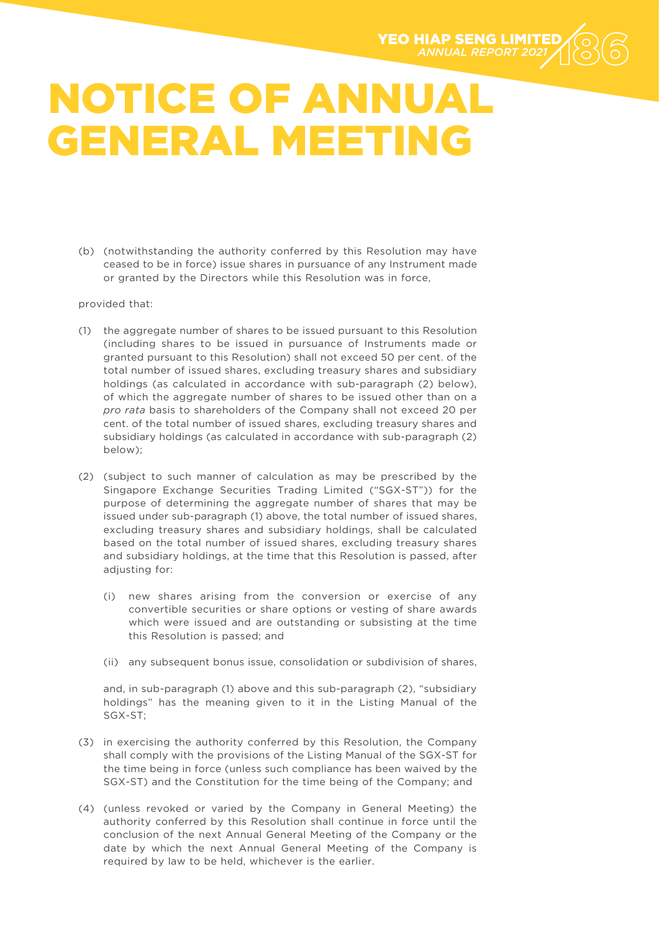

(b) (notwithstanding the authority conferred by this Resolution may have ceased to be in force) issue shares in pursuance of any Instrument made or granted by the Directors while this Resolution was in force,

provided that:

- (1) the aggregate number of shares to be issued pursuant to this Resolution (including shares to be issued in pursuance of Instruments made or granted pursuant to this Resolution) shall not exceed 50 per cent. of the total number of issued shares, excluding treasury shares and subsidiary holdings (as calculated in accordance with sub-paragraph (2) below), of which the aggregate number of shares to be issued other than on a *pro rata* basis to shareholders of the Company shall not exceed 20 per cent. of the total number of issued shares, excluding treasury shares and subsidiary holdings (as calculated in accordance with sub-paragraph (2) below);
- (2) (subject to such manner of calculation as may be prescribed by the Singapore Exchange Securities Trading Limited ("SGX-ST")) for the purpose of determining the aggregate number of shares that may be issued under sub-paragraph (1) above, the total number of issued shares, excluding treasury shares and subsidiary holdings, shall be calculated based on the total number of issued shares, excluding treasury shares and subsidiary holdings, at the time that this Resolution is passed, after adjusting for:
	- (i) new shares arising from the conversion or exercise of any convertible securities or share options or vesting of share awards which were issued and are outstanding or subsisting at the time this Resolution is passed; and
	- (ii) any subsequent bonus issue, consolidation or subdivision of shares,

and, in sub-paragraph (1) above and this sub-paragraph (2), "subsidiary holdings" has the meaning given to it in the Listing Manual of the SGX-ST;

- (3) in exercising the authority conferred by this Resolution, the Company shall comply with the provisions of the Listing Manual of the SGX-ST for the time being in force (unless such compliance has been waived by the SGX-ST) and the Constitution for the time being of the Company; and
- (4) (unless revoked or varied by the Company in General Meeting) the authority conferred by this Resolution shall continue in force until the conclusion of the next Annual General Meeting of the Company or the date by which the next Annual General Meeting of the Company is required by law to be held, whichever is the earlier.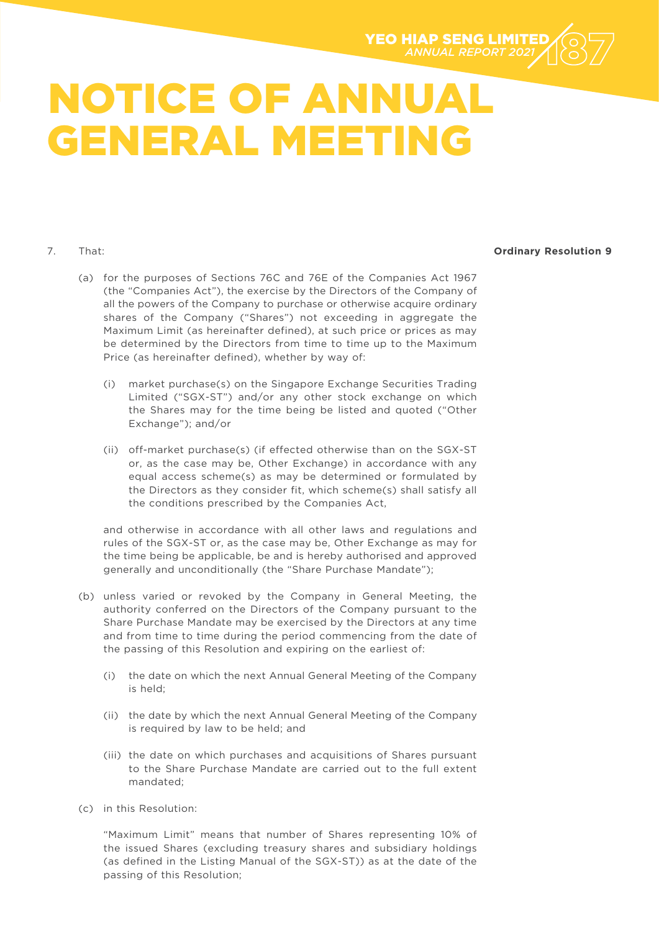

### 7. That:

### **Ordinary Resolution 9**

- (a) for the purposes of Sections 76C and 76E of the Companies Act 1967 (the "Companies Act"), the exercise by the Directors of the Company of all the powers of the Company to purchase or otherwise acquire ordinary shares of the Company ("Shares") not exceeding in aggregate the Maximum Limit (as hereinafter defined), at such price or prices as may be determined by the Directors from time to time up to the Maximum Price (as hereinafter defined), whether by way of:
	- (i) market purchase(s) on the Singapore Exchange Securities Trading Limited ("SGX-ST") and/or any other stock exchange on which the Shares may for the time being be listed and quoted ("Other Exchange"); and/or
	- (ii) off-market purchase(s) (if effected otherwise than on the SGX-ST or, as the case may be, Other Exchange) in accordance with any equal access scheme(s) as may be determined or formulated by the Directors as they consider fit, which scheme(s) shall satisfy all the conditions prescribed by the Companies Act,

and otherwise in accordance with all other laws and regulations and rules of the SGX-ST or, as the case may be, Other Exchange as may for the time being be applicable, be and is hereby authorised and approved generally and unconditionally (the "Share Purchase Mandate");

- (b) unless varied or revoked by the Company in General Meeting, the authority conferred on the Directors of the Company pursuant to the Share Purchase Mandate may be exercised by the Directors at any time and from time to time during the period commencing from the date of the passing of this Resolution and expiring on the earliest of:
	- (i) the date on which the next Annual General Meeting of the Company is held;
	- (ii) the date by which the next Annual General Meeting of the Company is required by law to be held; and
	- (iii) the date on which purchases and acquisitions of Shares pursuant to the Share Purchase Mandate are carried out to the full extent mandated;
- (c) in this Resolution:

"Maximum Limit" means that number of Shares representing 10% of the issued Shares (excluding treasury shares and subsidiary holdings (as defined in the Listing Manual of the SGX-ST)) as at the date of the passing of this Resolution;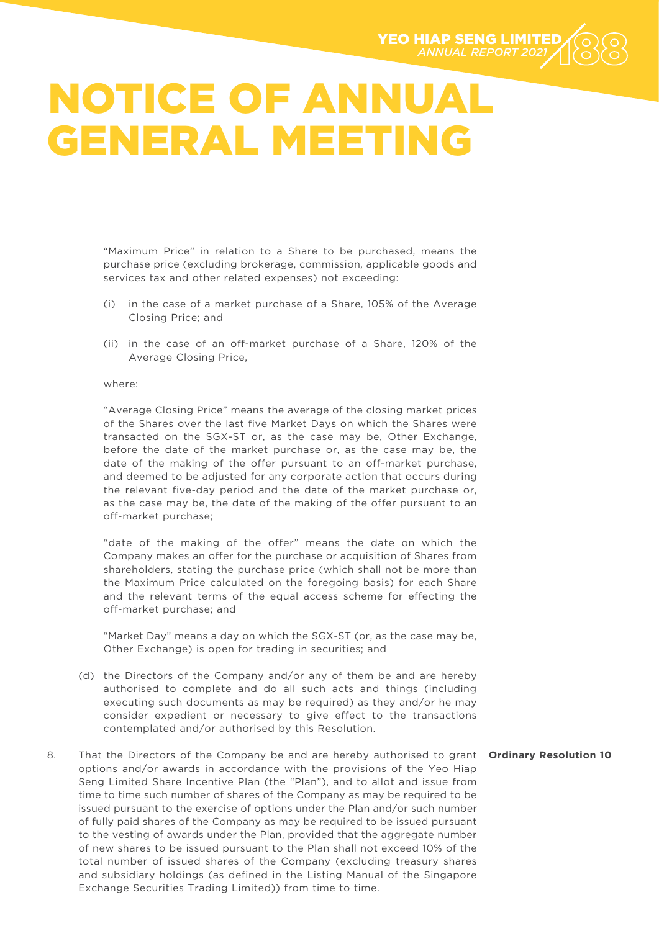

"Maximum Price" in relation to a Share to be purchased, means the purchase price (excluding brokerage, commission, applicable goods and services tax and other related expenses) not exceeding:

- (i) in the case of a market purchase of a Share, 105% of the Average Closing Price; and
- (ii) in the case of an off-market purchase of a Share, 120% of the Average Closing Price,

#### where:

"Average Closing Price" means the average of the closing market prices of the Shares over the last five Market Days on which the Shares were transacted on the SGX-ST or, as the case may be, Other Exchange, before the date of the market purchase or, as the case may be, the date of the making of the offer pursuant to an off-market purchase, and deemed to be adjusted for any corporate action that occurs during the relevant five-day period and the date of the market purchase or, as the case may be, the date of the making of the offer pursuant to an off-market purchase;

"date of the making of the offer" means the date on which the Company makes an offer for the purchase or acquisition of Shares from shareholders, stating the purchase price (which shall not be more than the Maximum Price calculated on the foregoing basis) for each Share and the relevant terms of the equal access scheme for effecting the off-market purchase; and

"Market Day" means a day on which the SGX-ST (or, as the case may be, Other Exchange) is open for trading in securities; and

- (d) the Directors of the Company and/or any of them be and are hereby authorised to complete and do all such acts and things (including executing such documents as may be required) as they and/or he may consider expedient or necessary to give effect to the transactions contemplated and/or authorised by this Resolution.
- 8. That the Directors of the Company be and are hereby authorised to grant **Ordinary Resolution 10** options and/or awards in accordance with the provisions of the Yeo Hiap Seng Limited Share Incentive Plan (the "Plan"), and to allot and issue from time to time such number of shares of the Company as may be required to be issued pursuant to the exercise of options under the Plan and/or such number of fully paid shares of the Company as may be required to be issued pursuant to the vesting of awards under the Plan, provided that the aggregate number of new shares to be issued pursuant to the Plan shall not exceed 10% of the total number of issued shares of the Company (excluding treasury shares and subsidiary holdings (as defined in the Listing Manual of the Singapore Exchange Securities Trading Limited)) from time to time.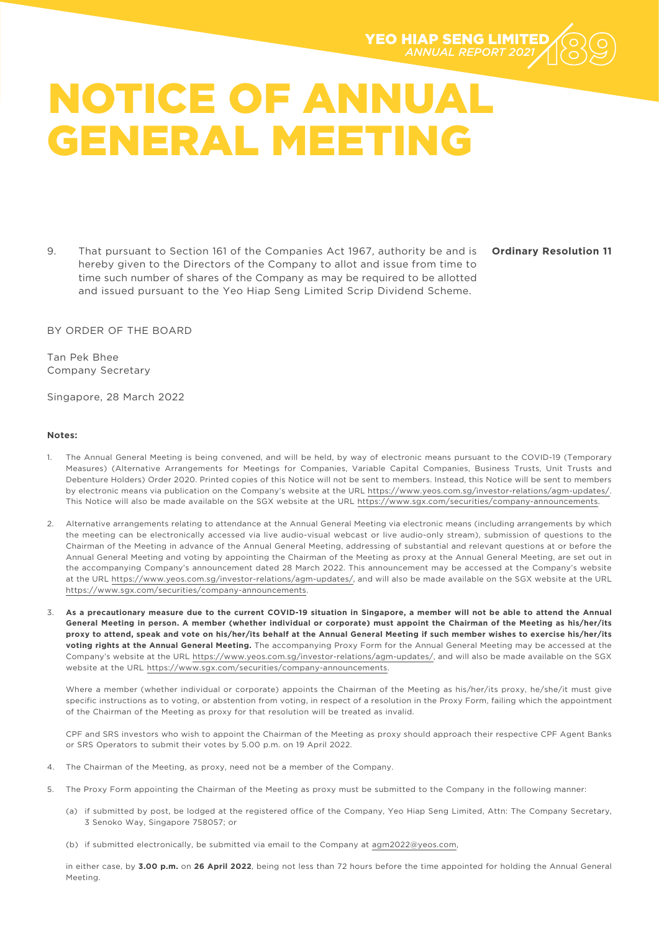

9. That pursuant to Section 161 of the Companies Act 1967, authority be and is hereby given to the Directors of the Company to allot and issue from time to time such number of shares of the Company as may be required to be allotted and issued pursuant to the Yeo Hiap Seng Limited Scrip Dividend Scheme.

**Ordinary Resolution 11**

BY ORDER OF THE BOARD

Tan Pek Bhee Company Secretary

Singapore, 28 March 2022

#### **Notes:**

- 1. The Annual General Meeting is being convened, and will be held, by way of electronic means pursuant to the COVID-19 (Temporary Measures) (Alternative Arrangements for Meetings for Companies, Variable Capital Companies, Business Trusts, Unit Trusts and Debenture Holders) Order 2020. Printed copies of this Notice will not be sent to members. Instead, this Notice will be sent to members by electronic means via publication on the Company's website at the URL https://www.yeos.com.sg/investor-relations/agm-updates/. This Notice will also be made available on the SGX website at the URL https://www.sgx.com/securities/company-announcements.
- 2. Alternative arrangements relating to attendance at the Annual General Meeting via electronic means (including arrangements by which the meeting can be electronically accessed via live audio-visual webcast or live audio-only stream), submission of questions to the Chairman of the Meeting in advance of the Annual General Meeting, addressing of substantial and relevant questions at or before the Annual General Meeting and voting by appointing the Chairman of the Meeting as proxy at the Annual General Meeting, are set out in the accompanying Company's announcement dated 28 March 2022. This announcement may be accessed at the Company's website at the URL https://www.yeos.com.sg/investor-relations/agm-updates/, and will also be made available on the SGX website at the URL https://www.sgx.com/securities/company-announcements.
- 3. **As a precautionary measure due to the current COVID-19 situation in Singapore, a member will not be able to attend the Annual General Meeting in person. A member (whether individual or corporate) must appoint the Chairman of the Meeting as his/her/its proxy to attend, speak and vote on his/her/its behalf at the Annual General Meeting if such member wishes to exercise his/her/its voting rights at the Annual General Meeting.** The accompanying Proxy Form for the Annual General Meeting may be accessed at the Company's website at the URL https://www.yeos.com.sg/investor-relations/agm-updates/, and will also be made available on the SGX website at the URL https://www.sgx.com/securities/company-announcements.

Where a member (whether individual or corporate) appoints the Chairman of the Meeting as his/her/its proxy, he/she/it must give specific instructions as to voting, or abstention from voting, in respect of a resolution in the Proxy Form, failing which the appointment of the Chairman of the Meeting as proxy for that resolution will be treated as invalid.

CPF and SRS investors who wish to appoint the Chairman of the Meeting as proxy should approach their respective CPF Agent Banks or SRS Operators to submit their votes by 5.00 p.m. on 19 April 2022.

- 4. The Chairman of the Meeting, as proxy, need not be a member of the Company.
- 5. The Proxy Form appointing the Chairman of the Meeting as proxy must be submitted to the Company in the following manner:
	- (a) if submitted by post, be lodged at the registered office of the Company, Yeo Hiap Seng Limited, Attn: The Company Secretary, 3 Senoko Way, Singapore 758057; or
	- (b) if submitted electronically, be submitted via email to the Company at agm2022@yeos.com,

in either case, by **3.00 p.m.** on **26 April 2022**, being not less than 72 hours before the time appointed for holding the Annual General Meeting.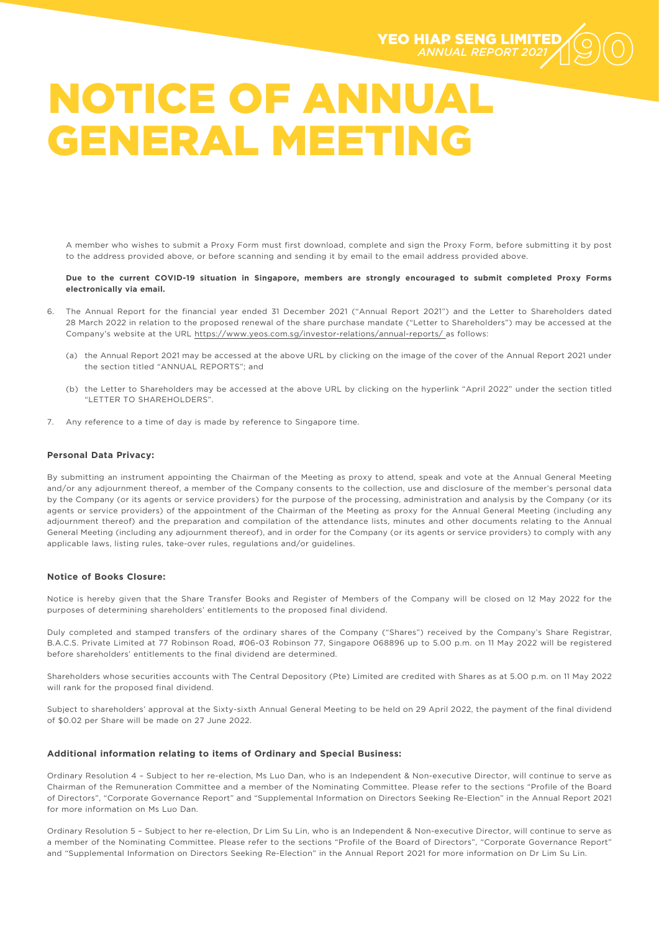A member who wishes to submit a Proxy Form must first download, complete and sign the Proxy Form, before submitting it by post to the address provided above, or before scanning and sending it by email to the email address provided above.

#### **Due to the current COVID-19 situation in Singapore, members are strongly encouraged to submit completed Proxy Forms electronically via email.**

- 6. The Annual Report for the financial year ended 31 December 2021 ("Annual Report 2021") and the Letter to Shareholders dated 28 March 2022 in relation to the proposed renewal of the share purchase mandate ("Letter to Shareholders") may be accessed at the Company's website at the URL https://www.yeos.com.sg/investor-relations/annual-reports/ as follows:
	- (a) the Annual Report 2021 may be accessed at the above URL by clicking on the image of the cover of the Annual Report 2021 under the section titled "ANNUAL REPORTS"; and
	- (b) the Letter to Shareholders may be accessed at the above URL by clicking on the hyperlink "April 2022" under the section titled "LETTER TO SHAREHOLDERS".
- 7. Any reference to a time of day is made by reference to Singapore time.

#### **Personal Data Privacy:**

By submitting an instrument appointing the Chairman of the Meeting as proxy to attend, speak and vote at the Annual General Meeting and/or any adjournment thereof, a member of the Company consents to the collection, use and disclosure of the member's personal data by the Company (or its agents or service providers) for the purpose of the processing, administration and analysis by the Company (or its agents or service providers) of the appointment of the Chairman of the Meeting as proxy for the Annual General Meeting (including any adjournment thereof) and the preparation and compilation of the attendance lists, minutes and other documents relating to the Annual General Meeting (including any adjournment thereof), and in order for the Company (or its agents or service providers) to comply with any applicable laws, listing rules, take-over rules, regulations and/or guidelines.

#### **Notice of Books Closure:**

Notice is hereby given that the Share Transfer Books and Register of Members of the Company will be closed on 12 May 2022 for the purposes of determining shareholders' entitlements to the proposed final dividend.

Duly completed and stamped transfers of the ordinary shares of the Company ("Shares") received by the Company's Share Registrar, B.A.C.S. Private Limited at 77 Robinson Road, #06-03 Robinson 77, Singapore 068896 up to 5.00 p.m. on 11 May 2022 will be registered before shareholders' entitlements to the final dividend are determined.

Shareholders whose securities accounts with The Central Depository (Pte) Limited are credited with Shares as at 5.00 p.m. on 11 May 2022 will rank for the proposed final dividend.

Subject to shareholders' approval at the Sixty-sixth Annual General Meeting to be held on 29 April 2022, the payment of the final dividend of \$0.02 per Share will be made on 27 June 2022.

#### **Additional information relating to items of Ordinary and Special Business:**

Ordinary Resolution 4 – Subject to her re-election, Ms Luo Dan, who is an Independent & Non-executive Director, will continue to serve as Chairman of the Remuneration Committee and a member of the Nominating Committee. Please refer to the sections "Profile of the Board of Directors", "Corporate Governance Report" and "Supplemental Information on Directors Seeking Re-Election" in the Annual Report 2021 for more information on Ms Luo Dan.

Ordinary Resolution 5 – Subject to her re-election, Dr Lim Su Lin, who is an Independent & Non-executive Director, will continue to serve as a member of the Nominating Committee. Please refer to the sections "Profile of the Board of Directors", "Corporate Governance Report" and "Supplemental Information on Directors Seeking Re-Election" in the Annual Report 2021 for more information on Dr Lim Su Lin.